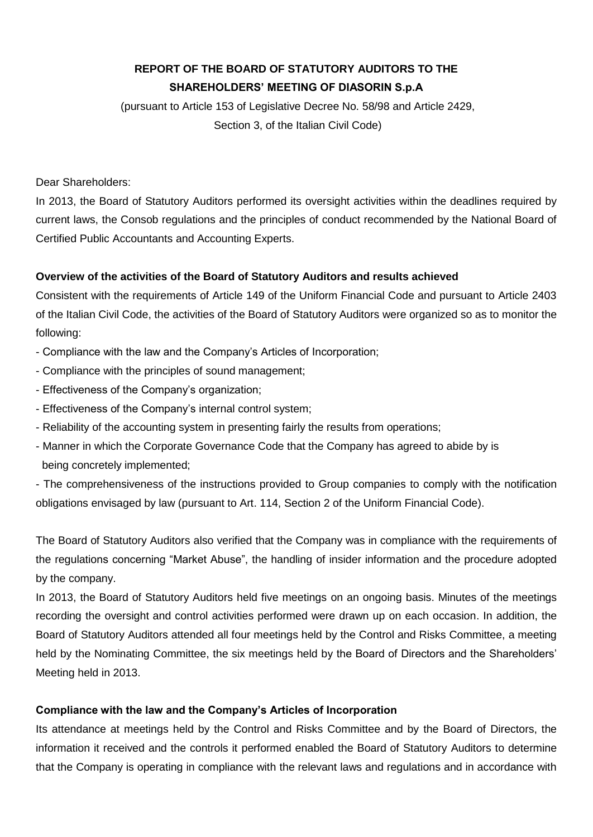# **REPORT OF THE BOARD OF STATUTORY AUDITORS TO THE SHAREHOLDERS' MEETING OF DIASORIN S.p.A**

(pursuant to Article 153 of Legislative Decree No. 58/98 and Article 2429, Section 3, of the Italian Civil Code)

Dear Shareholders:

In 2013, the Board of Statutory Auditors performed its oversight activities within the deadlines required by current laws, the Consob regulations and the principles of conduct recommended by the National Board of Certified Public Accountants and Accounting Experts.

## **Overview of the activities of the Board of Statutory Auditors and results achieved**

Consistent with the requirements of Article 149 of the Uniform Financial Code and pursuant to Article 2403 of the Italian Civil Code, the activities of the Board of Statutory Auditors were organized so as to monitor the following:

- Compliance with the law and the Company's Articles of Incorporation;
- Compliance with the principles of sound management;
- Effectiveness of the Company's organization;
- Effectiveness of the Company's internal control system;
- Reliability of the accounting system in presenting fairly the results from operations;
- Manner in which the Corporate Governance Code that the Company has agreed to abide by is being concretely implemented;

- The comprehensiveness of the instructions provided to Group companies to comply with the notification obligations envisaged by law (pursuant to Art. 114, Section 2 of the Uniform Financial Code).

The Board of Statutory Auditors also verified that the Company was in compliance with the requirements of the regulations concerning "Market Abuse", the handling of insider information and the procedure adopted by the company.

In 2013, the Board of Statutory Auditors held five meetings on an ongoing basis. Minutes of the meetings recording the oversight and control activities performed were drawn up on each occasion. In addition, the Board of Statutory Auditors attended all four meetings held by the Control and Risks Committee, a meeting held by the Nominating Committee, the six meetings held by the Board of Directors and the Shareholders' Meeting held in 2013.

## **Compliance with the law and the Company's Articles of Incorporation**

Its attendance at meetings held by the Control and Risks Committee and by the Board of Directors, the information it received and the controls it performed enabled the Board of Statutory Auditors to determine that the Company is operating in compliance with the relevant laws and regulations and in accordance with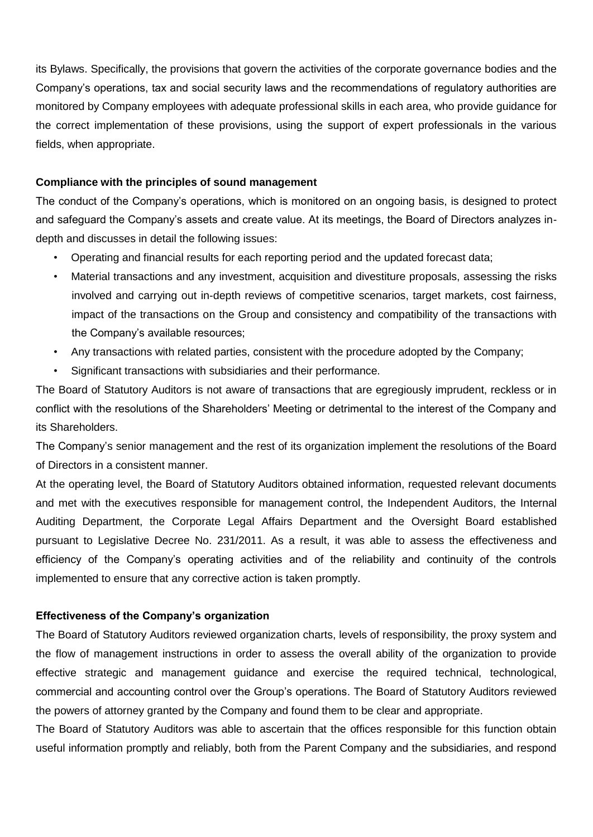its Bylaws. Specifically, the provisions that govern the activities of the corporate governance bodies and the Company's operations, tax and social security laws and the recommendations of regulatory authorities are monitored by Company employees with adequate professional skills in each area, who provide guidance for the correct implementation of these provisions, using the support of expert professionals in the various fields, when appropriate.

### **Compliance with the principles of sound management**

The conduct of the Company's operations, which is monitored on an ongoing basis, is designed to protect and safeguard the Company's assets and create value. At its meetings, the Board of Directors analyzes indepth and discusses in detail the following issues:

- Operating and financial results for each reporting period and the updated forecast data;
- Material transactions and any investment, acquisition and divestiture proposals, assessing the risks involved and carrying out in-depth reviews of competitive scenarios, target markets, cost fairness, impact of the transactions on the Group and consistency and compatibility of the transactions with the Company's available resources;
- Any transactions with related parties, consistent with the procedure adopted by the Company;
- Significant transactions with subsidiaries and their performance.

The Board of Statutory Auditors is not aware of transactions that are egregiously imprudent, reckless or in conflict with the resolutions of the Shareholders' Meeting or detrimental to the interest of the Company and its Shareholders.

The Company's senior management and the rest of its organization implement the resolutions of the Board of Directors in a consistent manner.

At the operating level, the Board of Statutory Auditors obtained information, requested relevant documents and met with the executives responsible for management control, the Independent Auditors, the Internal Auditing Department, the Corporate Legal Affairs Department and the Oversight Board established pursuant to Legislative Decree No. 231/2011. As a result, it was able to assess the effectiveness and efficiency of the Company's operating activities and of the reliability and continuity of the controls implemented to ensure that any corrective action is taken promptly.

## **Effectiveness of the Company's organization**

The Board of Statutory Auditors reviewed organization charts, levels of responsibility, the proxy system and the flow of management instructions in order to assess the overall ability of the organization to provide effective strategic and management guidance and exercise the required technical, technological, commercial and accounting control over the Group's operations. The Board of Statutory Auditors reviewed the powers of attorney granted by the Company and found them to be clear and appropriate.

The Board of Statutory Auditors was able to ascertain that the offices responsible for this function obtain useful information promptly and reliably, both from the Parent Company and the subsidiaries, and respond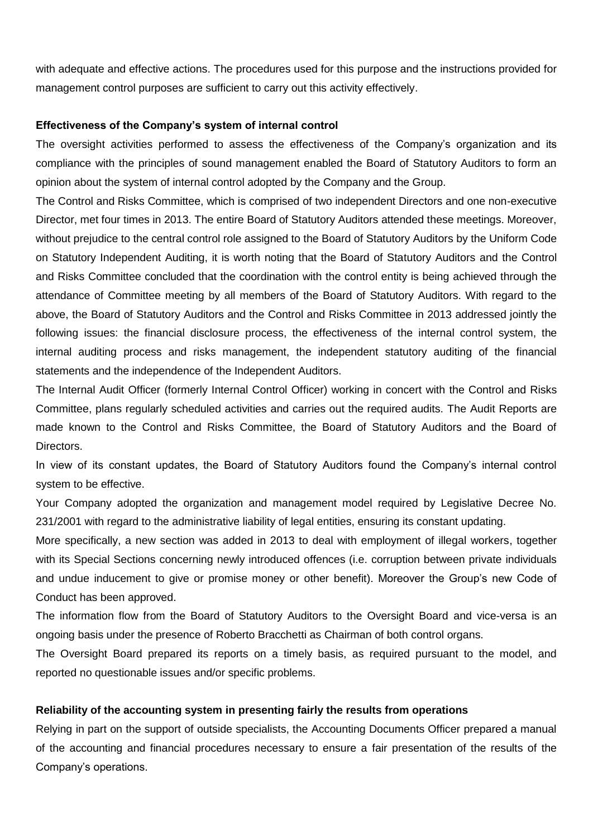with adequate and effective actions. The procedures used for this purpose and the instructions provided for management control purposes are sufficient to carry out this activity effectively.

#### **Effectiveness of the Company's system of internal control**

The oversight activities performed to assess the effectiveness of the Company's organization and its compliance with the principles of sound management enabled the Board of Statutory Auditors to form an opinion about the system of internal control adopted by the Company and the Group.

The Control and Risks Committee, which is comprised of two independent Directors and one non-executive Director, met four times in 2013. The entire Board of Statutory Auditors attended these meetings. Moreover, without prejudice to the central control role assigned to the Board of Statutory Auditors by the Uniform Code on Statutory Independent Auditing, it is worth noting that the Board of Statutory Auditors and the Control and Risks Committee concluded that the coordination with the control entity is being achieved through the attendance of Committee meeting by all members of the Board of Statutory Auditors. With regard to the above, the Board of Statutory Auditors and the Control and Risks Committee in 2013 addressed jointly the following issues: the financial disclosure process, the effectiveness of the internal control system, the internal auditing process and risks management, the independent statutory auditing of the financial statements and the independence of the Independent Auditors.

The Internal Audit Officer (formerly Internal Control Officer) working in concert with the Control and Risks Committee, plans regularly scheduled activities and carries out the required audits. The Audit Reports are made known to the Control and Risks Committee, the Board of Statutory Auditors and the Board of Directors.

In view of its constant updates, the Board of Statutory Auditors found the Company's internal control system to be effective.

Your Company adopted the organization and management model required by Legislative Decree No. 231/2001 with regard to the administrative liability of legal entities, ensuring its constant updating.

More specifically, a new section was added in 2013 to deal with employment of illegal workers, together with its Special Sections concerning newly introduced offences (i.e. corruption between private individuals and undue inducement to give or promise money or other benefit). Moreover the Group's new Code of Conduct has been approved.

The information flow from the Board of Statutory Auditors to the Oversight Board and vice-versa is an ongoing basis under the presence of Roberto Bracchetti as Chairman of both control organs.

The Oversight Board prepared its reports on a timely basis, as required pursuant to the model, and reported no questionable issues and/or specific problems.

### **Reliability of the accounting system in presenting fairly the results from operations**

Relying in part on the support of outside specialists, the Accounting Documents Officer prepared a manual of the accounting and financial procedures necessary to ensure a fair presentation of the results of the Company's operations.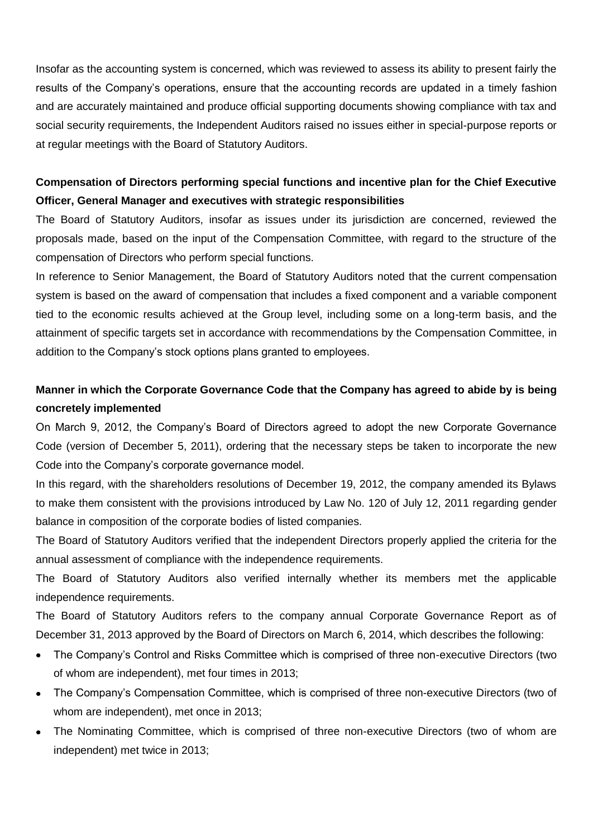Insofar as the accounting system is concerned, which was reviewed to assess its ability to present fairly the results of the Company's operations, ensure that the accounting records are updated in a timely fashion and are accurately maintained and produce official supporting documents showing compliance with tax and social security requirements, the Independent Auditors raised no issues either in special-purpose reports or at regular meetings with the Board of Statutory Auditors.

## **Compensation of Directors performing special functions and incentive plan for the Chief Executive Officer, General Manager and executives with strategic responsibilities**

The Board of Statutory Auditors, insofar as issues under its jurisdiction are concerned, reviewed the proposals made, based on the input of the Compensation Committee, with regard to the structure of the compensation of Directors who perform special functions.

In reference to Senior Management, the Board of Statutory Auditors noted that the current compensation system is based on the award of compensation that includes a fixed component and a variable component tied to the economic results achieved at the Group level, including some on a long-term basis, and the attainment of specific targets set in accordance with recommendations by the Compensation Committee, in addition to the Company's stock options plans granted to employees.

## **Manner in which the Corporate Governance Code that the Company has agreed to abide by is being concretely implemented**

On March 9, 2012, the Company's Board of Directors agreed to adopt the new Corporate Governance Code (version of December 5, 2011), ordering that the necessary steps be taken to incorporate the new Code into the Company's corporate governance model.

In this regard, with the shareholders resolutions of December 19, 2012, the company amended its Bylaws to make them consistent with the provisions introduced by Law No. 120 of July 12, 2011 regarding gender balance in composition of the corporate bodies of listed companies.

The Board of Statutory Auditors verified that the independent Directors properly applied the criteria for the annual assessment of compliance with the independence requirements.

The Board of Statutory Auditors also verified internally whether its members met the applicable independence requirements.

The Board of Statutory Auditors refers to the company annual Corporate Governance Report as of December 31, 2013 approved by the Board of Directors on March 6, 2014, which describes the following:

- The Company's Control and Risks Committee which is comprised of three non-executive Directors (two  $\bullet$ of whom are independent), met four times in 2013;
- The Company's Compensation Committee, which is comprised of three non-executive Directors (two of whom are independent), met once in 2013;
- $\bullet$ The Nominating Committee, which is comprised of three non-executive Directors (two of whom are independent) met twice in 2013;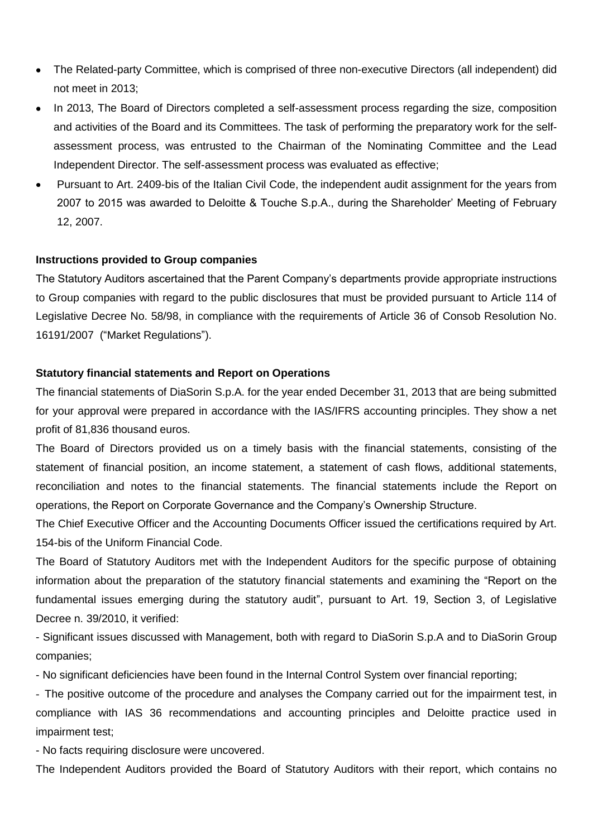- The Related-party Committee, which is comprised of three non-executive Directors (all independent) did not meet in 2013;
- In 2013, The Board of Directors completed a self-assessment process regarding the size, composition and activities of the Board and its Committees. The task of performing the preparatory work for the selfassessment process, was entrusted to the Chairman of the Nominating Committee and the Lead Independent Director. The self-assessment process was evaluated as effective;
- Pursuant to Art. 2409-bis of the Italian Civil Code, the independent audit assignment for the years from  $\bullet$ 2007 to 2015 was awarded to Deloitte & Touche S.p.A., during the Shareholder' Meeting of February 12, 2007.

### **Instructions provided to Group companies**

The Statutory Auditors ascertained that the Parent Company's departments provide appropriate instructions to Group companies with regard to the public disclosures that must be provided pursuant to Article 114 of Legislative Decree No. 58/98, in compliance with the requirements of Article 36 of Consob Resolution No. 16191/2007 ("Market Regulations").

#### **Statutory financial statements and Report on Operations**

The financial statements of DiaSorin S.p.A. for the year ended December 31, 2013 that are being submitted for your approval were prepared in accordance with the IAS/IFRS accounting principles. They show a net profit of 81,836 thousand euros.

The Board of Directors provided us on a timely basis with the financial statements, consisting of the statement of financial position, an income statement, a statement of cash flows, additional statements, reconciliation and notes to the financial statements. The financial statements include the Report on operations, the Report on Corporate Governance and the Company's Ownership Structure.

The Chief Executive Officer and the Accounting Documents Officer issued the certifications required by Art. 154-bis of the Uniform Financial Code.

The Board of Statutory Auditors met with the Independent Auditors for the specific purpose of obtaining information about the preparation of the statutory financial statements and examining the "Report on the fundamental issues emerging during the statutory audit", pursuant to Art. 19, Section 3, of Legislative Decree n. 39/2010, it verified:

- Significant issues discussed with Management, both with regard to DiaSorin S.p.A and to DiaSorin Group companies;

- No significant deficiencies have been found in the Internal Control System over financial reporting;

- The positive outcome of the procedure and analyses the Company carried out for the impairment test, in compliance with IAS 36 recommendations and accounting principles and Deloitte practice used in impairment test;

- No facts requiring disclosure were uncovered.

The Independent Auditors provided the Board of Statutory Auditors with their report, which contains no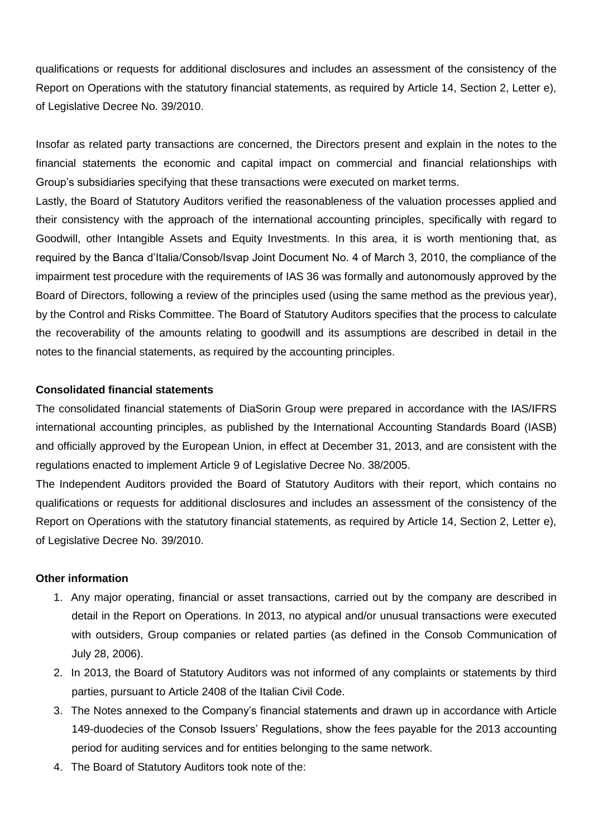qualifications or requests for additional disclosures and includes an assessment of the consistency of the Report on Operations with the statutory financial statements, as required by Article 14, Section 2, Letter e), of Legislative Decree No. 39/2010.

Insofar as related party transactions are concerned, the Directors present and explain in the notes to the financial statements the economic and capital impact on commercial and financial relationships with Group's subsidiaries specifying that these transactions were executed on market terms.

Lastly, the Board of Statutory Auditors verified the reasonableness of the valuation processes applied and their consistency with the approach of the international accounting principles, specifically with regard to Goodwill, other Intangible Assets and Equity Investments. In this area, it is worth mentioning that, as required by the Banca d'Italia/Consob/Isvap Joint Document No. 4 of March 3, 2010, the compliance of the impairment test procedure with the requirements of IAS 36 was formally and autonomously approved by the Board of Directors, following a review of the principles used (using the same method as the previous year), by the Control and Risks Committee. The Board of Statutory Auditors specifies that the process to calculate the recoverability of the amounts relating to goodwill and its assumptions are described in detail in the notes to the financial statements, as required by the accounting principles.

### **Consolidated financial statements**

The consolidated financial statements of DiaSorin Group were prepared in accordance with the IAS/IFRS international accounting principles, as published by the International Accounting Standards Board (IASB) and officially approved by the European Union, in effect at December 31, 2013, and are consistent with the regulations enacted to implement Article 9 of Legislative Decree No. 38/2005.

The Independent Auditors provided the Board of Statutory Auditors with their report, which contains no qualifications or requests for additional disclosures and includes an assessment of the consistency of the Report on Operations with the statutory financial statements, as required by Article 14, Section 2, Letter e), of Legislative Decree No. 39/2010.

### **Other information**

- 1. Any major operating, financial or asset transactions, carried out by the company are described in detail in the Report on Operations. In 2013, no atypical and/or unusual transactions were executed with outsiders, Group companies or related parties (as defined in the Consob Communication of July 28, 2006).
- 2. In 2013, the Board of Statutory Auditors was not informed of any complaints or statements by third parties, pursuant to Article 2408 of the Italian Civil Code.
- 3. The Notes annexed to the Company's financial statements and drawn up in accordance with Article 149-duodecies of the Consob Issuers' Regulations, show the fees payable for the 2013 accounting period for auditing services and for entities belonging to the same network.
- 4. The Board of Statutory Auditors took note of the: